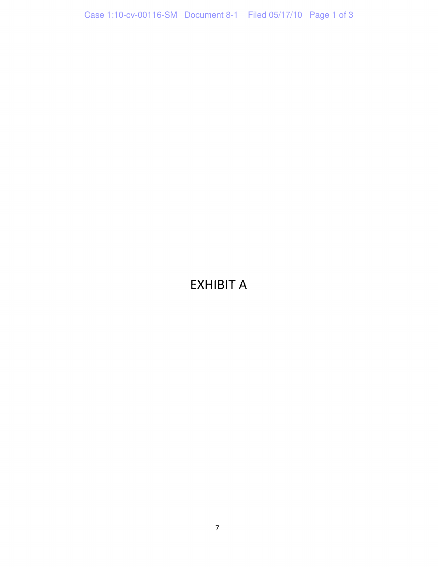## EXHIBIT A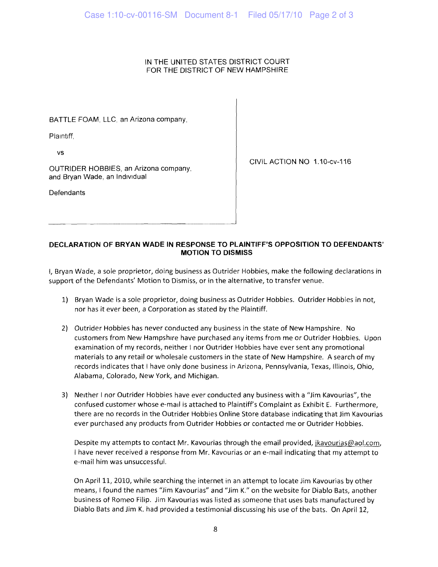## IN THE UNITED STATES DISTRICT COURT FOR THE DISTRICT OF NEW HAMPSHIRE

BATTLE FOAM, LLC, an Arizona company,

Plaintiff,

vs

CIVIL ACTION NO 1.10-CV-116

OUTRIDER HOBBIES, an Arizona company, and Bryan Wade, an Individual

**Defendants** 

## **DECLARATION OF BRYAN WADE IN RESPONSE TO PLAINTIFF'S OPPOSITION TO DEFENDANTS' MOTION TO DISMISS**

I, Bryan Wade, a sole proprietor, doing business as Outrider Hobbies, make the following declarations in support of the Defendants' Motion to Dismiss, or in the alternative, to transfer venue.

- 1) Bryan Wade is a sole proprietor, doing business as Outrider Hobbies. Outrider Hobbies in not, nor has it ever been, a Corporation as stated by the Plaintiff.
- 2) Outrider Hobbies has never conducted any business in the state of New Hampshire. No customers from New Hampshire have purchased any items from me or Outrider Hobbies. Upon examination of my records, neither I nor Outrider Hobbies have ever sent any promotional materials to any retail or wholesale customers in the state of New Hampshire. A search of my records indicates that I have only done business in Arizona, Pennsylvania, Texas, Illinois, Ohio, Alabama, Colorado, New York, and Michigan.
- 3) Neither I nor Outrider Hobbies have ever conducted any business with a "Jim Kavourias", the confused customer whose e-mail is attached to Plaintiff's Complaint as Exhibit E. Furthermore, there are no records in the Outrider Hobbies Online Store database indicating that Jim Kavourias ever purchased any products from Outrider Hobbies or contacted me or Outrider Hobbies.

Despite my attempts to contact Mr. Kavourias through the email provided, jkavourias@aol.com, I have never received a response from Mr. Kavourias or an e-mail indicating that my attempt to e-mail him was unsuccessful.

On April 11, 2010, while searching the internet in an attempt to locate Jim Kavourias by other means, I found the names "Jim Kavourias" and "Jim K." on the website for Diablo Bats, another business of Romeo Filip. Jim Kavourias was listed as someone that uses bats manufactured by Diablo Bats and Jim K. had provided a testimonial discussing his use of the bats. On April 12,